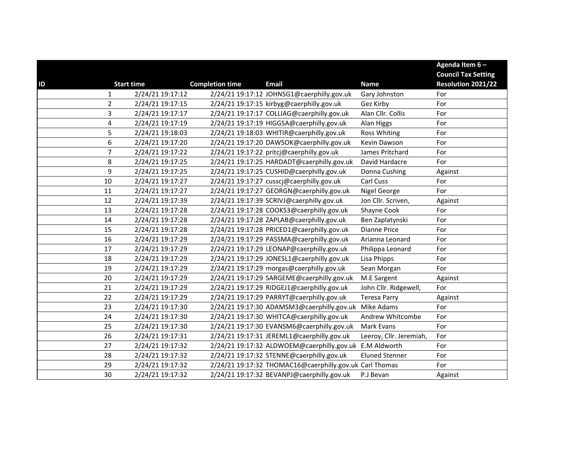|                                             |                        |                                                         |                         | Agenda Item 6-             |
|---------------------------------------------|------------------------|---------------------------------------------------------|-------------------------|----------------------------|
|                                             |                        |                                                         |                         | <b>Council Tax Setting</b> |
| <b>Start time</b><br>ID                     | <b>Completion time</b> | <b>Email</b>                                            | <b>Name</b>             | Resolution 2021/22         |
| 2/24/21 19:17:12<br>$\mathbf{1}$            |                        | 2/24/21 19:17:12 JOHNSG1@caerphilly.gov.uk              | Gary Johnston           | For                        |
| $\overline{2}$<br>2/24/21 19:17:15          |                        | 2/24/21 19:17:15 kirbyg@caerphilly.gov.uk               | Gez Kirby               | For                        |
| $\overline{\mathbf{3}}$<br>2/24/21 19:17:17 |                        | 2/24/21 19:17:17 COLLIAG@caerphilly.gov.uk              | Alan Cllr. Collis       | For                        |
| $\pmb{4}$<br>2/24/21 19:17:19               |                        | 2/24/21 19:17:19 HIGGSA@caerphilly.gov.uk               | Alan Higgs              | For                        |
| 5<br>2/24/21 19:18:03                       |                        | 2/24/21 19:18:03 WHITIR@caerphilly.gov.uk               | <b>Ross Whiting</b>     | For                        |
| $\boldsymbol{6}$<br>2/24/21 19:17:20        |                        | 2/24/21 19:17:20 DAWSOK@caerphilly.gov.uk               | Kevin Dawson            | For                        |
| $\overline{7}$<br>2/24/21 19:17:22          |                        | 2/24/21 19:17:22 pritcj@caerphilly.gov.uk               | James Pritchard         | For                        |
| 8<br>2/24/21 19:17:25                       |                        | 2/24/21 19:17:25 HARDADT@caerphilly.gov.uk              | David Hardacre          | For                        |
| $\boldsymbol{9}$<br>2/24/21 19:17:25        |                        | 2/24/21 19:17:25 CUSHID@caerphilly.gov.uk               | Donna Cushing           | Against                    |
| 10<br>2/24/21 19:17:27                      |                        | 2/24/21 19:17:27 cusscj@caerphilly.gov.uk               | Carl Cuss               | For                        |
| 11<br>2/24/21 19:17:27                      |                        | 2/24/21 19:17:27 GEORGN@caerphilly.gov.uk               | Nigel George            | For                        |
| 12<br>2/24/21 19:17:39                      |                        | 2/24/21 19:17:39 SCRIVJ@caerphilly.gov.uk               | Jon Cllr. Scriven,      | Against                    |
| 13<br>2/24/21 19:17:28                      |                        | 2/24/21 19:17:28 COOKS3@caerphilly.gov.uk               | Shayne Cook             | For                        |
| 2/24/21 19:17:28<br>14                      |                        | 2/24/21 19:17:28 ZAPLAB@caerphilly.gov.uk               | Ben Zaplatynski         | For                        |
| 15<br>2/24/21 19:17:28                      |                        | 2/24/21 19:17:28 PRICED1@caerphilly.gov.uk              | <b>Dianne Price</b>     | For                        |
| 16<br>2/24/21 19:17:29                      |                        | 2/24/21 19:17:29 PASSMA@caerphilly.gov.uk               | Arianna Leonard         | For                        |
| 17<br>2/24/21 19:17:29                      |                        | 2/24/21 19:17:29 LEONAP@caerphilly.gov.uk               | Philippa Leonard        | For                        |
| 2/24/21 19:17:29<br>18                      |                        | 2/24/21 19:17:29 JONESL1@caerphilly.gov.uk              | Lisa Phipps             | For                        |
| 19<br>2/24/21 19:17:29                      |                        | 2/24/21 19:17:29 morgas@caerphilly.gov.uk               | Sean Morgan             | For                        |
| 20<br>2/24/21 19:17:29                      |                        | 2/24/21 19:17:29 SARGEME@caerphilly.gov.uk              | M.E Sargent             | Against                    |
| 2/24/21 19:17:29<br>21                      |                        | 2/24/21 19:17:29 RIDGEJ1@caerphilly.gov.uk              | John Cllr. Ridgewell,   | For                        |
| 22<br>2/24/21 19:17:29                      |                        | 2/24/21 19:17:29 PARRYT@caerphilly.gov.uk               | <b>Teresa Parry</b>     | Against                    |
| 23<br>2/24/21 19:17:30                      |                        | 2/24/21 19:17:30 ADAMSM3@caerphilly.gov.uk              | Mike Adams              | For                        |
| 24<br>2/24/21 19:17:30                      |                        | 2/24/21 19:17:30 WHITCA@caerphilly.gov.uk               | Andrew Whitcombe        | For                        |
| 2/24/21 19:17:30<br>25                      |                        | 2/24/21 19:17:30 EVANSM6@caerphilly.gov.uk              | Mark Evans              | For                        |
| 26<br>2/24/21 19:17:31                      |                        | 2/24/21 19:17:31 JEREML1@caerphilly.gov.uk              | Leeroy, Cllr. Jeremiah, | For                        |
| 27<br>2/24/21 19:17:32                      |                        | 2/24/21 19:17:32 ALDWOEM@caerphilly.gov.uk E.M Aldworth |                         | For                        |
| 28<br>2/24/21 19:17:32                      |                        | 2/24/21 19:17:32 STENNE@caerphilly.gov.uk               | <b>Eluned Stenner</b>   | For                        |
| 2/24/21 19:17:32<br>29                      |                        | 2/24/21 19:17:32 THOMAC16@caerphilly.gov.uk Carl Thomas |                         | For                        |
| 30<br>2/24/21 19:17:32                      |                        | 2/24/21 19:17:32 BEVANPJ@caerphilly.gov.uk              | P.J Bevan               | Against                    |